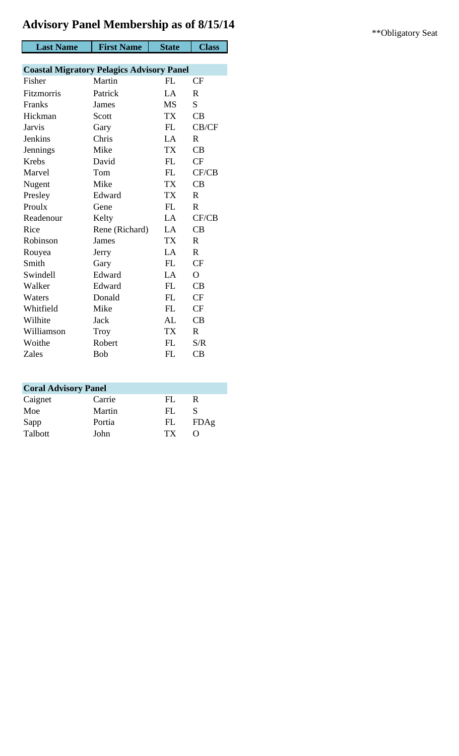|                  | <b>Advisory Panel Membership as of 8/15/14</b>   |              |                |
|------------------|--------------------------------------------------|--------------|----------------|
| <b>Last Name</b> | <b>First Name</b>                                | <b>State</b> | <b>Class</b>   |
|                  |                                                  |              |                |
|                  | <b>Coastal Migratory Pelagics Advisory Panel</b> |              |                |
| Fisher           | Martin                                           | FL           | CF             |
| Fitzmorris       | Patrick                                          | LA           | $\mathbf{R}$   |
| Franks           | James                                            | <b>MS</b>    | S              |
| Hickman          | Scott                                            | <b>TX</b>    | CB             |
| <b>Jarvis</b>    | Gary                                             | FL           | CB/CF          |
| Jenkins          | Chris                                            | LA           | $\mathbf{R}$   |
| <b>Jennings</b>  | Mike                                             | <b>TX</b>    | CB             |
| Krebs            | David                                            | FL           | CF             |
| Marvel           | Tom                                              | ${\rm FL}$   | CF/CB          |
| Nugent           | Mike                                             | <b>TX</b>    | CB             |
| Presley          | Edward                                           | <b>TX</b>    | $\mathbf R$    |
| Proulx           | Gene                                             | FL           | $\mathbf R$    |
| Readenour        | Kelty                                            | LA           | CF/CB          |
| Rice             | Rene (Richard)                                   | LA           | CB             |
| Robinson         | James                                            | <b>TX</b>    | $\mathbf R$    |
| Rouyea           | Jerry                                            | LA           | $\mathbf R$    |
| Smith            | Gary                                             | ${\rm FL}$   | CF             |
| Swindell         | Edward                                           | LA           | $\overline{O}$ |
| Walker           | Edward                                           | FL           | CB             |
| Waters           | Donald                                           | FL           | CF             |
| Whitfield        | Mike                                             | FL           | CF             |
| Wilhite          | Jack                                             | AL           | CB             |
| Williamson       | <b>Troy</b>                                      | <b>TX</b>    | $\mathbf{R}$   |
| Woithe           | Robert                                           | FL           | S/R            |
| Zales            | <b>Bob</b>                                       | FL           | CB             |
|                  |                                                  |              |                |

| <b>Coral Advisory Panel</b> |        |     |      |  |
|-----------------------------|--------|-----|------|--|
| Caignet                     | Carrie | FL. | R    |  |
| Moe                         | Martin | FL. |      |  |
| Sapp                        | Portia | FL  | FDAg |  |
| Talbott                     | John   | TX  |      |  |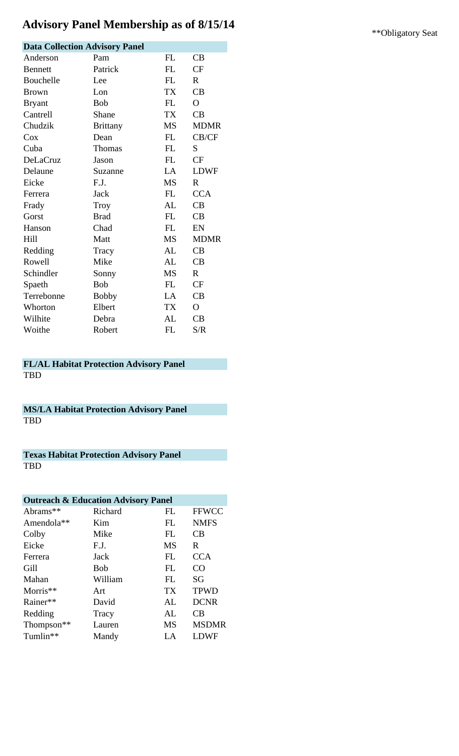# Advisory Panel Membership as of 8/15/14 **\*\***Obligatory Seat

| <b>Data Collection Advisory Panel</b> |                 |           |                |  |
|---------------------------------------|-----------------|-----------|----------------|--|
| Anderson                              | Pam             | FL        | CB             |  |
| <b>Bennett</b>                        | Patrick         | <b>FL</b> | <b>CF</b>      |  |
| Bouchelle                             | Lee             | FL        | $\mathbf{R}$   |  |
| <b>Brown</b>                          | Lon             | <b>TX</b> | CB             |  |
| <b>Bryant</b>                         | <b>Bob</b>      | <b>FL</b> | $\overline{O}$ |  |
| Cantrell                              | Shane           | <b>TX</b> | CB             |  |
| Chudzik                               | <b>Brittany</b> | <b>MS</b> | <b>MDMR</b>    |  |
| Cox                                   | Dean            | FL        | CB/CF          |  |
| Cuba                                  | Thomas          | <b>FL</b> | S              |  |
| <b>DeLaCruz</b>                       | Jason           | <b>FL</b> | CF             |  |
| Delaune                               | Suzanne         | LA        | <b>LDWF</b>    |  |
| Eicke                                 | F.J.            | <b>MS</b> | $\mathbf R$    |  |
| Ferrera                               | Jack            | FL        | <b>CCA</b>     |  |
| Frady                                 | Troy            | AL        | CB             |  |
| Gorst                                 | <b>Brad</b>     | FL        | CB             |  |
| Hanson                                | Chad            | FL        | EN             |  |
| <b>Hill</b>                           | Matt            | <b>MS</b> | <b>MDMR</b>    |  |
| Redding                               | Tracy           | AL        | CB             |  |
| Rowell                                | Mike            | AL        | CB             |  |
| Schindler                             | Sonny           | <b>MS</b> | R              |  |
| Spaeth                                | <b>Bob</b>      | FL        | <b>CF</b>      |  |
| Terrebonne                            | <b>Bobby</b>    | LA        | CB             |  |
| Whorton                               | Elbert          | <b>TX</b> | $\mathbf{O}$   |  |
| Wilhite                               | Debra           | AL        | CB             |  |
| Woithe                                | Robert          | FL        | S/R            |  |

#### **FL/AL Habitat Protection Advisory Panel** TBD

**MS/LA Habitat Protection Advisory Panel** TBD

**Texas Habitat Protection Advisory Panel** TBD

| <b>Outreach &amp; Education Advisory Panel</b> |         |           |                 |  |
|------------------------------------------------|---------|-----------|-----------------|--|
| Abrams**                                       | Richard | FL        | <b>FFWCC</b>    |  |
| Amendola**                                     | Kim     | FL        | <b>NMFS</b>     |  |
| Colby                                          | Mike    | FL        | CВ              |  |
| Eicke                                          | F.J.    | <b>MS</b> | R.              |  |
| Ferrera                                        | Jack    | FL        | <b>CCA</b>      |  |
| Gill                                           | Bob     | FL        | CO <sub>1</sub> |  |
| Mahan                                          | William | FL.       | SG              |  |
| Morris $**$                                    | Art     | <b>TX</b> | <b>TPWD</b>     |  |
| Rainer**                                       | David   | AL        | <b>DCNR</b>     |  |
| Redding                                        | Tracy   | AL        | CB              |  |
| Thompson <sup>**</sup>                         | Lauren  | <b>MS</b> | <b>MSDMR</b>    |  |
| Tumlin**                                       | Mandy   | LA        | LDWF            |  |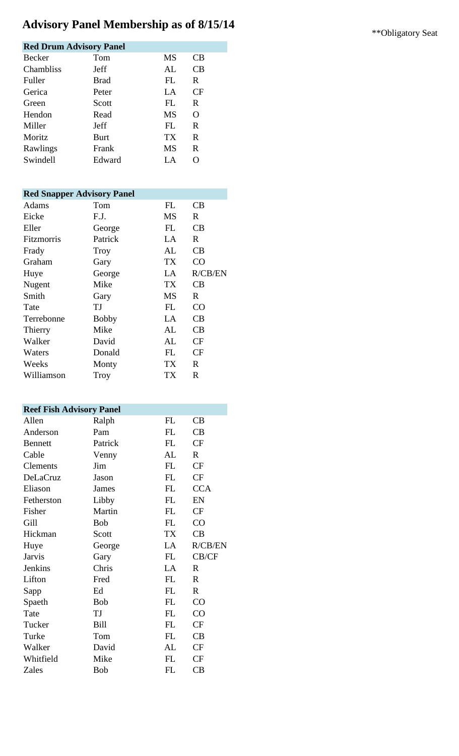# Advisory Panel Membership as of 8/15/14 **\*\***Obligatory Seat

| <b>Red Drum Advisory Panel</b> |             |       |    |  |
|--------------------------------|-------------|-------|----|--|
| Becker                         | Tom         | MS    | CB |  |
| <b>Chambliss</b>               | Jeff        | AI.   | СB |  |
| Fuller                         | <b>Brad</b> | FL    | R. |  |
| Gerica                         | Peter       | $L^A$ | CF |  |
| Green                          | Scott       | FL    | R  |  |
| Hendon                         | Read        | MS    | O  |  |
| Miller                         | Jeff        | FI.   | R. |  |
| Moritz                         | <b>Burt</b> | TX    | R  |  |
| Rawlings                       | Frank       | MS    | R. |  |
| Swindell                       | Edward      | LA    |    |  |

#### **Red Snapper Advisory Panel** Adams Tom FL CB

| Eicke             | F.J.         | <b>MS</b> | $\mathbf R$  |
|-------------------|--------------|-----------|--------------|
| Eller             | George       | <b>FL</b> | CB           |
| <b>Fitzmorris</b> | Patrick      | LA        | R            |
| Frady             | Troy         | AL        | CB           |
| Graham            | Gary         | TX        | CO           |
| Huye              | George       | LA        | R/CB/EN      |
| Nugent            | Mike         | TX        | CB           |
| Smith             | Gary         | <b>MS</b> | $\mathbf{R}$ |
| Tate              | TJ           | <b>FL</b> | CO           |
| Terrebonne        | <b>Bobby</b> | LA        | CB           |
| Thierry           | Mike         | AL        | CB           |
| Walker            | David        | AL        | CF           |
| Waters            | Donald       | <b>FL</b> | <b>CF</b>    |
| Weeks             | Monty        | TX        | $\mathbf{R}$ |
| Williamson        | Troy         | <b>TX</b> | R            |

### **Reef Fish Advisory Panel**

| $\sum_{i=1}^{n}$ |            |           |              |
|------------------|------------|-----------|--------------|
| Allen            | Ralph      | FL        | CB           |
| Anderson         | Pam        | FL        | CB           |
| <b>Bennett</b>   | Patrick    | FL        | CF           |
| Cable            | Venny      | AL        | $\mathbf{R}$ |
| Clements         | Jim        | FL        | CF           |
| DeLaCruz         | Jason      | FL        | CF           |
| Eliason          | James      | FL        | <b>CCA</b>   |
| Fetherston       | Libby      | FL        | EN           |
| Fisher           | Martin     | FL        | CF           |
| Gill             | <b>Bob</b> | FL        | CO           |
| Hickman          | Scott      | TX        | CB           |
| Huye             | George     | LA        | R/CB/EN      |
| <b>Jarvis</b>    | Gary       | FL        | CB/CF        |
| Jenkins          | Chris      | LA        | $\mathbf{R}$ |
| Lifton           | Fred       | FL        | $\mathbf R$  |
| Sapp             | Ed         | FL        | $\mathbb{R}$ |
| Spaeth           | <b>Bob</b> | FL        | CO           |
| Tate             | TJ         | FL        | CO           |
| Tucker           | Bill       | FL        | CF           |
| Turke            | Tom        | FL        | CB           |
| Walker           | David      | AL        | CF           |
| Whitfield        | Mike       | FL        | CF           |
| Zales            | <b>Bob</b> | <b>FL</b> | CB           |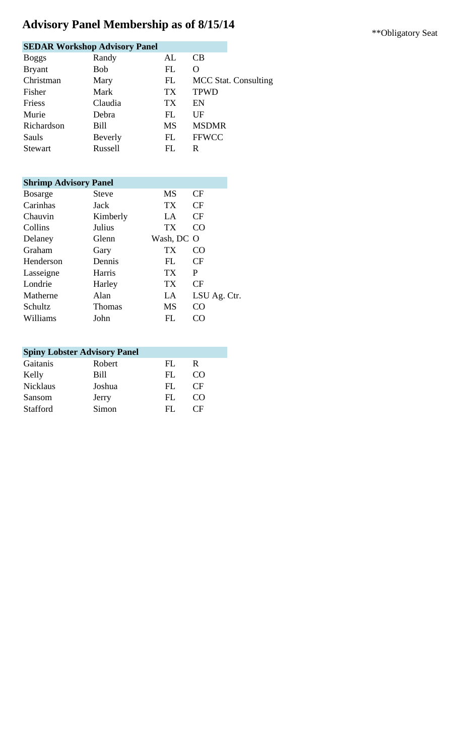# Advisory Panel Membership as of 8/15/14 \*\*\* Obligatory Seat

|              | <b>SEDAR Workshop Advisory Panel</b> |           |                             |
|--------------|--------------------------------------|-----------|-----------------------------|
| <b>Boggs</b> | Randy                                | AL        | CB                          |
| Bryant       | <b>Bob</b>                           | FL        | O                           |
| Christman    | Mary                                 | FL        | <b>MCC Stat. Consulting</b> |
| Fisher       | Mark                                 | TX        | <b>TPWD</b>                 |
| Friess       | Claudia                              | TX        | EN                          |
| Murie        | Debra                                | FL        | UF                          |
| Richardson   | Bill                                 | <b>MS</b> | <b>MSDMR</b>                |
| Sauls        | Beverly                              | FL        | <b>FFWCC</b>                |
| Stewart      | Russell                              | FL        | R                           |
|              |                                      |           |                             |

| <b>Shrimp Advisory Panel</b> |          |                 |                 |
|------------------------------|----------|-----------------|-----------------|
| <b>Bosarge</b>               | Steve    | <b>MS</b>       | CF              |
| Carinhas                     | Jack     | TX.             | CF              |
| Chauvin                      | Kimberly | $L^A$           | CF              |
| Collins                      | Julius   | <b>TX</b>       | CO <sub>1</sub> |
| Delaney                      | Glenn    | Wash, DC O      |                 |
| Graham                       | Gary     | ТX              | CO              |
| Henderson                    | Dennis   | FL.             | CF              |
| Lasseigne                    | Harris   | TX <sup>-</sup> | P               |
| Londrie                      | Harley   | TX              | CF              |
| Matherne                     | Alan     | LA              | LSU Ag. Ctr.    |
| Schultz                      | Thomas   | <b>MS</b>       | CO              |
| Williams                     | John     | FL.             |                 |

| <b>Spiny Lobster Advisory Panel</b> |             |     |          |  |  |
|-------------------------------------|-------------|-----|----------|--|--|
| Gaitanis                            | Robert      | FL. | R        |  |  |
| Kelly                               | <b>Bill</b> | FL. | ( `( )   |  |  |
| <b>Nicklaus</b>                     | Joshua      | FL. | $\Gamma$ |  |  |
| Sansom                              | Jerry       | FL. | ( )' )   |  |  |
| <b>Stafford</b>                     | Simon       | FL. | ( `H`    |  |  |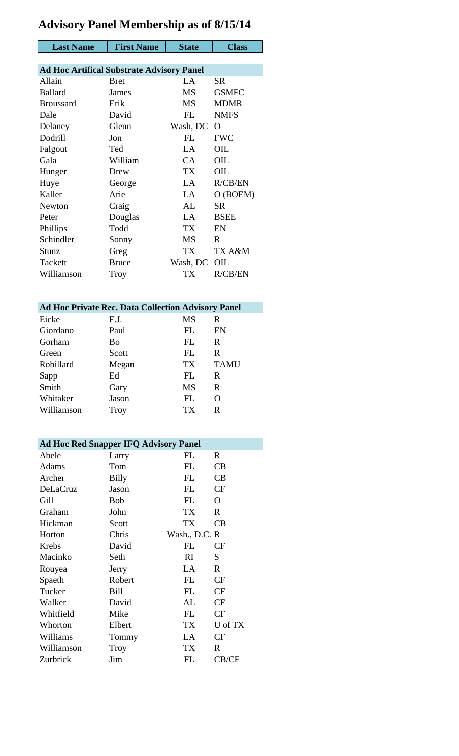## **Advisory Panel Membership as of 8/15/14**

| <b>Last Name</b>                                 | <b>First Name</b> | <b>State</b> | <b>Class</b>   |
|--------------------------------------------------|-------------------|--------------|----------------|
|                                                  |                   |              |                |
| <b>Ad Hoc Artifical Substrate Advisory Panel</b> |                   |              |                |
| Allain                                           | <b>Bret</b>       | $L^A$        | <b>SR</b>      |
| <b>Ballard</b>                                   | James             | <b>MS</b>    | <b>GSMFC</b>   |
| <b>Broussard</b>                                 | Erik              | <b>MS</b>    | <b>MDMR</b>    |
| Dale                                             | David             | FL           | <b>NMFS</b>    |
| Delaney                                          | Glenn             | Wash, DC     | $\Omega$       |
| Dodrill                                          | Jon               | FL           | <b>FWC</b>     |
| Falgout                                          | Ted               | $L^A$        | OIL            |
| Gala                                             | William           | CA           | OIL            |
| Hunger                                           | Drew              | <b>TX</b>    | OIL            |
| Huye                                             | George            | LA           | R/CB/EN        |
| Kaller                                           | Arie              | LA           | O (BOEM)       |
| Newton                                           | Craig             | AL           | SR.            |
| Peter                                            | Douglas           | LA           | <b>BSEE</b>    |
| Phillips                                         | Todd              | <b>TX</b>    | EN             |
| Schindler                                        | Sonny             | <b>MS</b>    | R              |
| Stunz                                            | Greg              | TX           | TX A&M         |
| Tackett                                          | <b>Bruce</b>      | Wash, DC     | OIL            |
| Williamson                                       | Troy              | TX           | <b>R/CB/EN</b> |

|            |             | <b>Ad Hoc Private Rec. Data Collection Advisory Panel</b> |             |
|------------|-------------|-----------------------------------------------------------|-------------|
| Eicke      | F.J.        | <b>MS</b>                                                 | R           |
| Giordano   | Paul        | FL.                                                       | EN          |
| Gorham     | Bo          | FL.                                                       | R           |
| Green      | Scott       | FL.                                                       | R           |
| Robillard  | Megan       | TX <sup>-</sup>                                           | <b>TAMU</b> |
| Sapp       | Ed          | FL                                                        | R           |
| Smith      | Gary        | <b>MS</b>                                                 | R           |
| Whitaker   | Jason       | FL.                                                       | O           |
| Williamson | <b>Troy</b> | ТX                                                        | R           |

| <b>Ad Hoc Red Snapper IFQ Advisory Panel</b> |            |               |             |  |
|----------------------------------------------|------------|---------------|-------------|--|
| Abele                                        | Larry      | FL            | R           |  |
| Adams                                        | Tom        | FL            | CB          |  |
| Archer                                       | Billy      | FL            | CB          |  |
| DeLaCruz                                     | Jason      | <b>FL</b>     | <b>CF</b>   |  |
| Gill                                         | <b>Bob</b> | <b>FL</b>     | O           |  |
| Graham                                       | John       | <b>TX</b>     | R           |  |
| Hickman                                      | Scott      | <b>TX</b>     | CB          |  |
| Horton                                       | Chris      | Wash., D.C. R |             |  |
| Krebs                                        | David      | FL            | <b>CF</b>   |  |
| Macinko                                      | Seth       | RI            | S           |  |
| Rouyea                                       | Jerry      | LA            | $\mathbf R$ |  |
| Spaeth                                       | Robert     | <b>FL</b>     | CF          |  |
| Tucker                                       | Bill       | FL            | CF          |  |
| Walker                                       | David      | AL            | CF          |  |
| Whitfield                                    | Mike       | <b>FL</b>     | CF          |  |
| Whorton                                      | Elbert     | TX            | U of TX     |  |
| Williams                                     | Tommy      | LA            | CF          |  |
| Williamson                                   | Troy       | TX            | R           |  |
| Zurbrick                                     | Jim        | FL            | CB/CF       |  |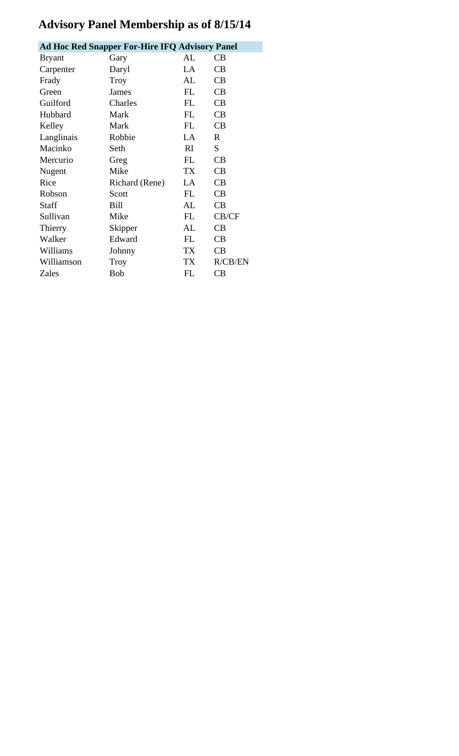## **Advisory Panel Membership as of 8/15/14**

| <b>Ad Hoc Red Snapper For-Hire IFQ Advisory Panel</b> |                |           |             |  |
|-------------------------------------------------------|----------------|-----------|-------------|--|
| <b>Bryant</b>                                         | Gary           | AI.       | CВ          |  |
| Carpenter                                             | Daryl          | $L^A$     | CB          |  |
| Frady                                                 | Troy           | AL        | CB          |  |
| Green                                                 | James          | FL        | CB          |  |
| Guilford                                              | Charles        | <b>FL</b> | CB          |  |
| Hubbard                                               | Mark           | FL        | CB          |  |
| Kelley                                                | Mark           | FL        | CB          |  |
| Langlinais                                            | Robbie         | LA        | $\mathbf R$ |  |
| Macinko                                               | Seth           | RI        | S           |  |
| Mercurio                                              | Greg           | FL        | CB          |  |
| Nugent                                                | Mike           | <b>TX</b> | CB          |  |
| Rice                                                  | Richard (Rene) | LA        | CB          |  |
| Robson                                                | Scott          | <b>FL</b> | CB          |  |
| Staff                                                 | Bill           | AL        | CB          |  |
| Sullivan                                              | Mike           | FL        | CB/CF       |  |
| Thierry                                               | Skipper        | AL        | CB          |  |
| Walker                                                | Edward         | FL        | CB          |  |
| Williams                                              | Johnny         | TX        | CB          |  |
| Williamson                                            | Troy           | TX        | R/CB/EN     |  |
| Zales                                                 | <b>Bob</b>     | FL        | CB          |  |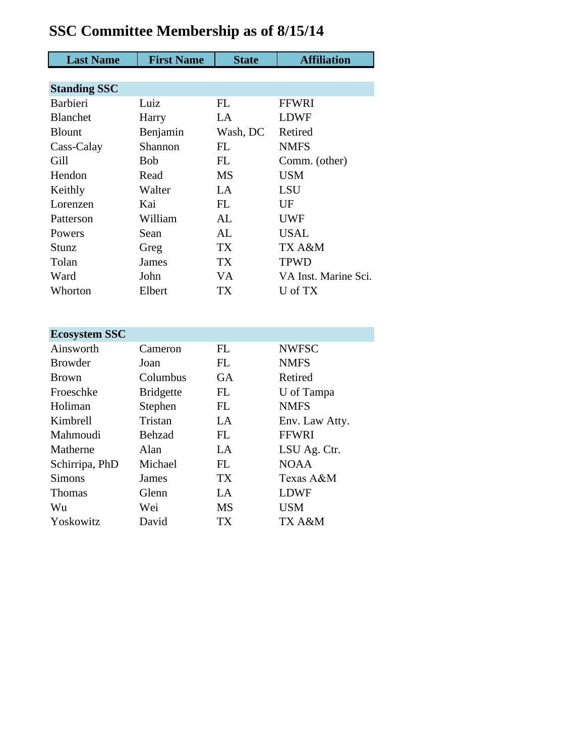| <b>Last Name</b>     | <b>First Name</b> | <b>State</b> | <b>Affiliation</b>   |
|----------------------|-------------------|--------------|----------------------|
|                      |                   |              |                      |
| <b>Standing SSC</b>  |                   |              |                      |
| <b>Barbieri</b>      | Luiz              | FL           | <b>FFWRI</b>         |
| <b>Blanchet</b>      | Harry             | LA           | <b>LDWF</b>          |
| <b>Blount</b>        | Benjamin          | Wash, DC     | Retired              |
| Cass-Calay           | Shannon           | <b>FL</b>    | <b>NMFS</b>          |
| Gill                 | <b>Bob</b>        | FL           | Comm. (other)        |
| Hendon               | Read              | <b>MS</b>    | <b>USM</b>           |
| Keithly              | Walter            | LA           | <b>LSU</b>           |
| Lorenzen             | Kai               | FL           | UF                   |
| Patterson            | William           | AL           | <b>UWF</b>           |
| Powers               | Sean              | AL           | <b>USAL</b>          |
| Stunz                | Greg              | <b>TX</b>    | TX A&M               |
| Tolan                | <b>James</b>      | <b>TX</b>    | <b>TPWD</b>          |
| Ward                 | John              | <b>VA</b>    | VA Inst. Marine Sci. |
| Whorton              | Elbert            | <b>TX</b>    | U of TX              |
|                      |                   |              |                      |
|                      |                   |              |                      |
| <b>Ecosystem SSC</b> |                   |              |                      |
| Ainsworth            | Cameron           | <b>FL</b>    | <b>NWFSC</b>         |
| <b>Browder</b>       | Joan              | FL           | <b>NMFS</b>          |
| <b>Brown</b>         | Columbus          | GA           | Retired              |
| Froeschke            | <b>Bridgette</b>  | FL           | U of Tampa           |
| Holiman              | Stephen           | FL           | <b>NMFS</b>          |
| Kimbrell             | Tristan           | LA           | Env. Law Atty.       |
| Mahmoudi             | Behzad            | FL           | <b>FFWRI</b>         |
| Matherne             | Alan              | LA           | LSU Ag. Ctr.         |
| Schirripa, PhD       | Michael           | FL           | <b>NOAA</b>          |
| <b>Simons</b>        | James             | <b>TX</b>    | Texas A&M            |
| <b>Thomas</b>        | Glenn             | LA           | <b>LDWF</b>          |
| Wu                   | Wei               | MS           | <b>USM</b>           |

TX A&M

Yoskowitz David TX

## **SSC Committee Membership as of 8/15/14**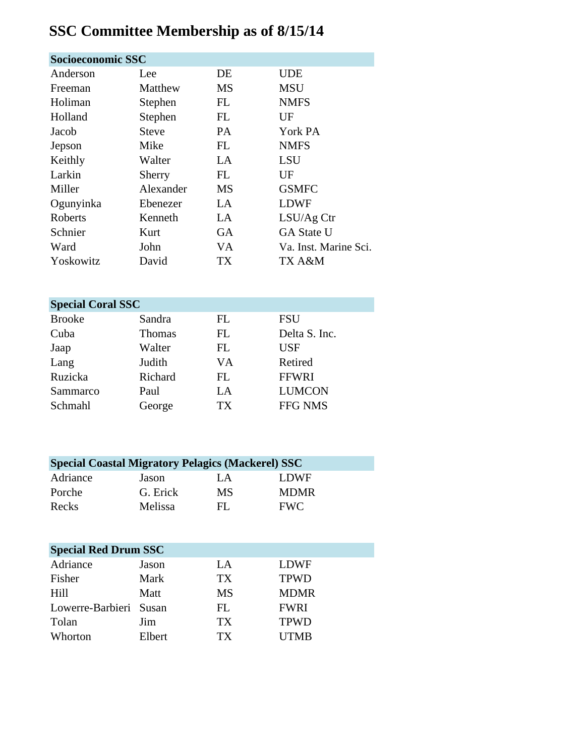# **SSC Committee Membership as of 8/15/14**

| Socioeconomic SSC |           |           |                       |  |
|-------------------|-----------|-----------|-----------------------|--|
| Anderson          | Lee       | DE        | <b>UDE</b>            |  |
| Freeman           | Matthew   | <b>MS</b> | <b>MSU</b>            |  |
| Holiman           | Stephen   | FL        | <b>NMFS</b>           |  |
| Holland           | Stephen   | FL        | UF                    |  |
| Jacob             | Steve     | PA.       | York PA               |  |
| Jepson            | Mike      | FL        | <b>NMFS</b>           |  |
| Keithly           | Walter    | LA        | <b>LSU</b>            |  |
| Larkin            | Sherry    | FL        | UF                    |  |
| Miller            | Alexander | <b>MS</b> | <b>GSMFC</b>          |  |
| Ogunyinka         | Ebenezer  | LA        | <b>LDWF</b>           |  |
| Roberts           | Kenneth   | LA        | LSU/Ag Ctr            |  |
| Schnier           | Kurt      | GA        | <b>GA State U</b>     |  |
| Ward              | John      | VA        | Va. Inst. Marine Sci. |  |
| Yoskowitz         | David     | TX        | TX A&M                |  |

| <b>Special Coral SSC</b> |               |    |               |  |
|--------------------------|---------------|----|---------------|--|
| <b>Brooke</b>            | Sandra        | FL | FSU           |  |
| Cuba                     | <b>Thomas</b> | FL | Delta S. Inc. |  |
| Jaap                     | Walter        | FL | <b>USF</b>    |  |
| Lang                     | Judith        | VA | Retired       |  |
| Ruzicka                  | Richard       | FL | <b>FFWRI</b>  |  |
| Sammarco                 | Paul          | LA | <b>LUMCON</b> |  |
| Schmahl                  | George        | TX | FFG NMS       |  |

| <b>Special Coastal Migratory Pelagics (Mackerel) SSC</b> |          |     |             |  |
|----------------------------------------------------------|----------|-----|-------------|--|
| Adriance                                                 | Jason    | LA. | <b>LDWF</b> |  |
| Porche                                                   | G. Erick | MS  | <b>MDMR</b> |  |
| Recks                                                    | Melissa  | FL. | <b>FWC</b>  |  |

| <b>Special Red Drum SSC</b> |        |                 |             |  |
|-----------------------------|--------|-----------------|-------------|--|
| Adriance                    | Jason  | LA              | LDWF        |  |
| Fisher                      | Mark   | TX <sup>-</sup> | <b>TPWD</b> |  |
| Hill                        | Matt   | MS              | <b>MDMR</b> |  |
| Lowerre-Barbieri Susan      |        | FL              | <b>FWRI</b> |  |
| Tolan                       | Jim    | TX <sup>-</sup> | <b>TPWD</b> |  |
| Whorton                     | Elbert | TX.             | <b>UTMB</b> |  |